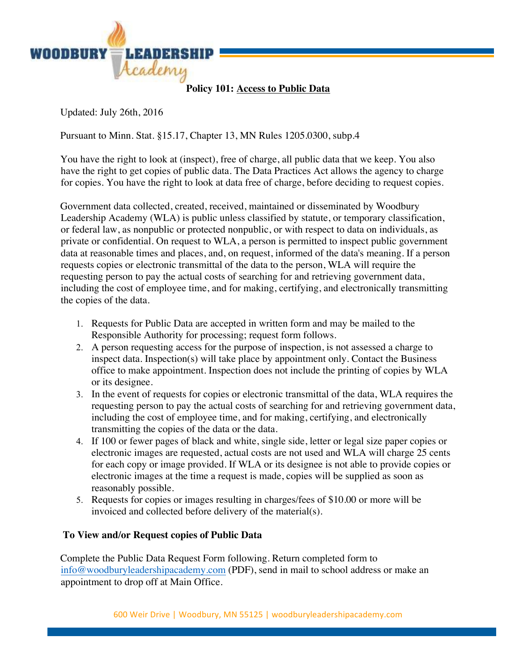

**Policy 101: Access to Public Data**

Updated: July 26th, 2016

Pursuant to Minn. Stat. §15.17, Chapter 13, MN Rules 1205.0300, subp.4

You have the right to look at (inspect), free of charge, all public data that we keep. You also have the right to get copies of public data. The Data Practices Act allows the agency to charge for copies. You have the right to look at data free of charge, before deciding to request copies.

Government data collected, created, received, maintained or disseminated by Woodbury Leadership Academy (WLA) is public unless classified by statute, or temporary classification, or federal law, as nonpublic or protected nonpublic, or with respect to data on individuals, as private or confidential. On request to WLA, a person is permitted to inspect public government data at reasonable times and places, and, on request, informed of the data's meaning. If a person requests copies or electronic transmittal of the data to the person, WLA will require the requesting person to pay the actual costs of searching for and retrieving government data, including the cost of employee time, and for making, certifying, and electronically transmitting the copies of the data.

- 1. Requests for Public Data are accepted in written form and may be mailed to the Responsible Authority for processing; request form follows.
- 2. A person requesting access for the purpose of inspection, is not assessed a charge to inspect data. Inspection(s) will take place by appointment only. Contact the Business office to make appointment. Inspection does not include the printing of copies by WLA or its designee.
- 3. In the event of requests for copies or electronic transmittal of the data, WLA requires the requesting person to pay the actual costs of searching for and retrieving government data, including the cost of employee time, and for making, certifying, and electronically transmitting the copies of the data or the data.
- 4. If 100 or fewer pages of black and white, single side, letter or legal size paper copies or electronic images are requested, actual costs are not used and WLA will charge 25 cents for each copy or image provided. If WLA or its designee is not able to provide copies or electronic images at the time a request is made, copies will be supplied as soon as reasonably possible.
- 5. Requests for copies or images resulting in charges/fees of \$10.00 or more will be invoiced and collected before delivery of the material(s).

## **To View and/or Request copies of Public Data**

Complete the Public Data Request Form following. Return completed form to info@woodburyleadershipacademy.com (PDF), send in mail to school address or make an appointment to drop off at Main Office.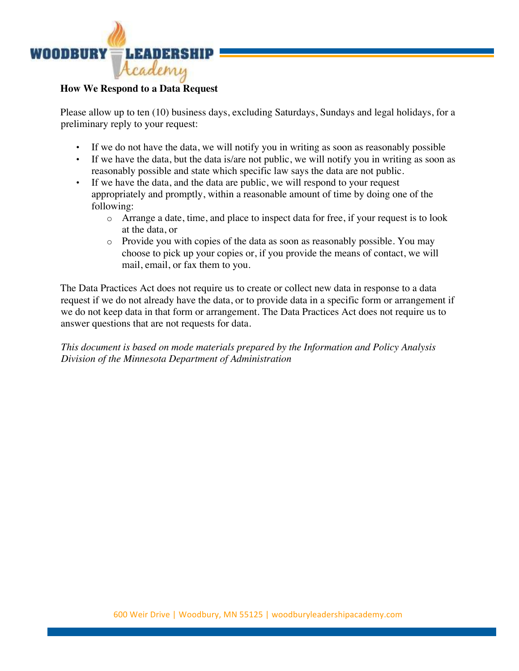

## **How We Respond to a Data Request**

Please allow up to ten (10) business days, excluding Saturdays, Sundays and legal holidays, for a preliminary reply to your request:

- If we do not have the data, we will notify you in writing as soon as reasonably possible
- If we have the data, but the data is/are not public, we will notify you in writing as soon as reasonably possible and state which specific law says the data are not public.
- If we have the data, and the data are public, we will respond to your request appropriately and promptly, within a reasonable amount of time by doing one of the following:
	- o Arrange a date, time, and place to inspect data for free, if your request is to look at the data, or
	- o Provide you with copies of the data as soon as reasonably possible. You may choose to pick up your copies or, if you provide the means of contact, we will mail, email, or fax them to you.

The Data Practices Act does not require us to create or collect new data in response to a data request if we do not already have the data, or to provide data in a specific form or arrangement if we do not keep data in that form or arrangement. The Data Practices Act does not require us to answer questions that are not requests for data.

*This document is based on mode materials prepared by the Information and Policy Analysis Division of the Minnesota Department of Administration*